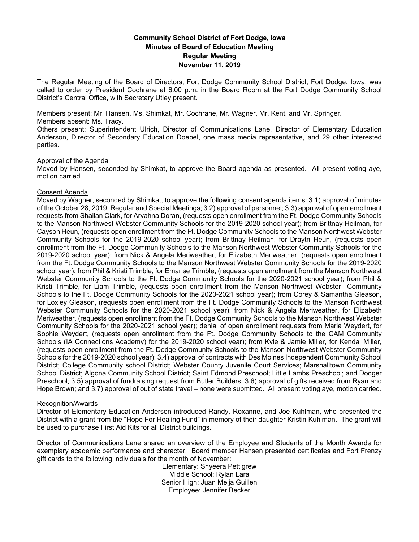# **Community School District of Fort Dodge, Iowa Minutes of Board of Education Meeting Regular Meeting November 11, 2019**

The Regular Meeting of the Board of Directors, Fort Dodge Community School District, Fort Dodge, Iowa, was called to order by President Cochrane at 6:00 p.m. in the Board Room at the Fort Dodge Community School District's Central Office, with Secretary Utley present.

Members present: Mr. Hansen, Ms. Shimkat, Mr. Cochrane, Mr. Wagner, Mr. Kent, and Mr. Springer. Members absent: Ms. Tracy.

Others present: Superintendent Ulrich, Director of Communications Lane, Director of Elementary Education Anderson, Director of Secondary Education Doebel, one mass media representative, and 29 other interested parties.

#### Approval of the Agenda

Moved by Hansen, seconded by Shimkat, to approve the Board agenda as presented. All present voting aye, motion carried.

### Consent Agenda

Moved by Wagner, seconded by Shimkat, to approve the following consent agenda items: 3.1) approval of minutes of the October 28, 2019, Regular and Special Meetings; 3.2) approval of personnel; 3.3) approval of open enrollment requests from Shailan Clark, for Aryahna Doran, (requests open enrollment from the Ft. Dodge Community Schools to the Manson Northwest Webster Community Schools for the 2019-2020 school year); from Brittnay Heilman, for Cayson Heun, (requests open enrollment from the Ft. Dodge Community Schools to the Manson Northwest Webster Community Schools for the 2019-2020 school year); from Brittnay Heilman, for Draytn Heun, (requests open enrollment from the Ft. Dodge Community Schools to the Manson Northwest Webster Community Schools for the 2019-2020 school year); from Nick & Angela Meriweather, for Elizabeth Meriweather, (requests open enrollment from the Ft. Dodge Community Schools to the Manson Northwest Webster Community Schools for the 2019-2020 school year); from Phil & Kristi Trimble, for Emarise Trimble, (requests open enrollment from the Manson Northwest Webster Community Schools to the Ft. Dodge Community Schools for the 2020-2021 school year); from Phil & Kristi Trimble, for Liam Trimble, (requests open enrollment from the Manson Northwest Webster Community Schools to the Ft. Dodge Community Schools for the 2020-2021 school year); from Corey & Samantha Gleason, for Loxley Gleason, (requests open enrollment from the Ft. Dodge Community Schools to the Manson Northwest Webster Community Schools for the 2020-2021 school year); from Nick & Angela Meriweather, for Elizabeth Meriweather, (requests open enrollment from the Ft. Dodge Community Schools to the Manson Northwest Webster Community Schools for the 2020-2021 school year); denial of open enrollment requests from Maria Weydert, for Sophie Weydert, (requests open enrollment from the Ft. Dodge Community Schools to the CAM Community Schools (IA Connections Academy) for the 2019-2020 school year); from Kyle & Jamie Miller, for Kendal Miller, (requests open enrollment from the Ft. Dodge Community Schools to the Manson Northwest Webster Community Schools for the 2019-2020 school year); 3.4) approval of contracts with Des Moines Independent Community School District; College Community school District; Webster County Juvenile Court Services; Marshalltown Community School District; Algona Community School District; Saint Edmond Preschool; Little Lambs Preschool; and Dodger Preschool; 3.5) approval of fundraising request from Butler Builders; 3.6) approval of gifts received from Ryan and Hope Brown; and 3.7) approval of out of state travel – none were submitted. All present voting aye, motion carried.

### Recognition/Awards

Director of Elementary Education Anderson introduced Randy, Roxanne, and Joe Kuhlman, who presented the District with a grant from the "Hope For Healing Fund" in memory of their daughter Kristin Kuhlman. The grant will be used to purchase First Aid Kits for all District buildings.

Director of Communications Lane shared an overview of the Employee and Students of the Month Awards for exemplary academic performance and character. Board member Hansen presented certificates and Fort Frenzy gift cards to the following individuals for the month of November:

Elementary: Shyeera Pettigrew Middle School: Rylan Lara Senior High: Juan Meija Guillen Employee: Jennifer Becker